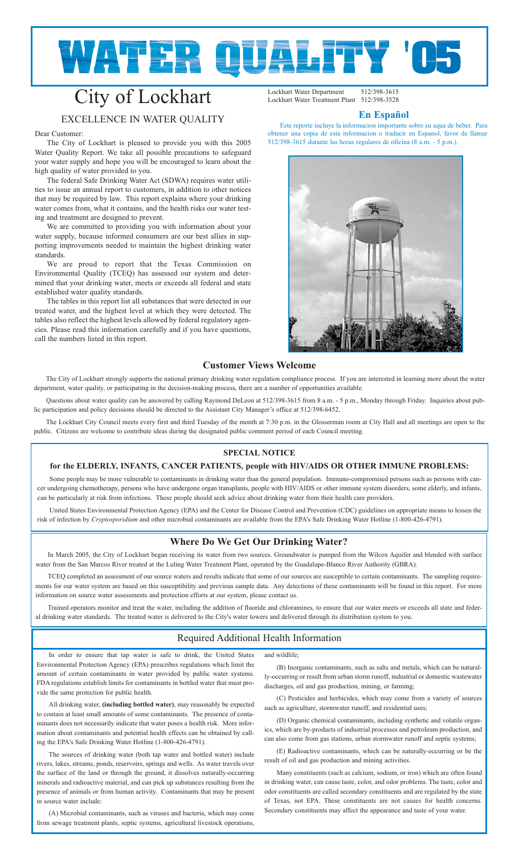# **WATER QUALITY '**

# City of Lockhart

# EXCELLENCE IN WATER QUALITY

#### Dear Customer:

The City of Lockhart is pleased to provide you with this 2005 Water Quality Report. We take all possible precautions to safeguard your water supply and hope you will be encouraged to learn about the high quality of water provided to you.

The federal Safe Drinking Water Act (SDWA) requires water utilities to issue an annual report to customers, in addition to other notices that may be required by law. This report explains where your drinking water comes from, what it contains, and the health risks our water testing and treatment are designed to prevent.

We are committed to providing you with information about your water supply, because informed consumers are our best allies in supporting improvements needed to maintain the highest drinking water standards.

We are proud to report that the Texas Commission on Environmental Quality (TCEQ) has assessed our system and determined that your drinking water, meets or exceeds all federal and state established water quality standards.

The tables in this report list all substances that were detected in our treated water, and the highest level at which they were detected. The tables also reflect the highest levels allowed by federal regulatory agencies. Please read this information carefully and if you have questions, call the numbers listed in this report.

Lockhart Water Department 512/398-3615<br>Lockhart Water Treatment Plant 512/398-3528 Lockhart Water Treatment Plant

#### **En Español**

Este reporte incluye la informacion importante sobre su aqua de beber. Para obtener una copia de esta informacion o traducir en Espanol, favor de llamar 512/398-3615 durante las horas regulares de oficina (8 a.m. - 5 p.m.).



#### **Customer Views Welcome**

The City of Lockhart strongly supports the national primary drinking water regulation compliance process. If you are interested in learning more about the water department, water quality, or participating in the decision-making process, there are a number of opportunities available.

Questions about water quality can be answered by calling Raymond DeLeon at 512/398-3615 from 8 a.m. - 5 p.m., Monday through Friday. Inquiries about public participation and policy decisions should be directed to the Assistant City Manager's office at 512/398-6452.

The Lockhart City Council meets every first and third Tuesday of the month at 7:30 p.m. in the Glosserman room at City Hall and all meetings are open to the public. Citizens are welcome to contribute ideas during the designated public comment period of each Council meeting.

### **SPECIAL NOTICE**

#### **for the ELDERLY, INFANTS, CANCER PATIENTS, people with HIV/AIDS OR OTHER IMMUNE PROBLEMS:**

Some people may be more vulnerable to contaminants in drinking water than the general population. Immuno-compromised persons such as persons with cancer undergoing chemotherapy, persons who have undergone organ transplants, people with HIV/AIDS or other immune system disorders, some elderly, and infants, can be particularly at risk from infections. These people should seek advice about drinking water from their health care providers.

United States Environmental Protection Agency (EPA) and the Center for Disease Control and Prevention (CDC) guidelines on appropriate means to lessen the risk of infection by *Cryptosporidium* and other microbial contaminants are available from the EPA's Safe Drinking Water Hotline (1-800-426-4791).

#### **Where Do We Get Our Drinking Water?**

In March 2005, the City of Lockhart began receiving its water from two sources. Groundwater is pumped from the Wilcox Aquifer and blended with surface water from the San Marcos River treated at the Luling Water Treatment Plant, operated by the Guadalupe-Blanco River Authority (GBRA).

TCEQ completed an assessment of our source waters and results indicate that some of our sources are susceptible to certain contaminants. The sampling requirements for our water system are based on this susceptibility and previous sample data. Any detections of these contaminants will be found in this report. For more information on source water assessments and protection efforts at our system, please contact us.

Trained operators monitor and treat the water, including the addition of fluoride and chloramines, to ensure that our water meets or exceeds all state and federal drinking water standards. The treated water is delivered to the City's water towers and delivered through its distribution system to you.

## Required Additional Health Information

In order to ensure that tap water is safe to drink, the United States Environmental Protection Agency (EPA) prescribes regulations which limit the amount of certain contaminants in water provided by public water systems. FDA regulations establish limits for contaminants in bottled water that must provide the same protection for public health.

All drinking water, **(including bottled water)**, may reasonably be expected to contain at least small amounts of some contaminants. The presence of contaminants does not necessarily indicate that water poses a health risk. More information about contaminants and potential health effects can be obtained by calling the EPA's Safe Drinking Water Hotline (1-800-426-4791).

The sources of drinking water (both tap water and bottled water) include rivers, lakes, streams, ponds, reservoirs, springs and wells. As water travels over the surface of the land or through the ground, it dissolves naturally-occurring minerals and radioactive material, and can pick up substances resulting from the presence of animals or from human activity. Contaminants that may be present in source water include:

(A) Microbial contaminants, such as viruses and bacteria, which may come from sewage treatment plants, septic systems, agricultural livestock operations, and wildlife;

(B) Inorganic contaminants, such as salts and metals, which can be naturally-occurring or result from urban storm runoff, industrial or domestic wastewater discharges, oil and gas production, mining, or farming;

(C) Pesticides and herbicides, which may come from a variety of sources such as agriculture, stormwater runoff, and residential uses;

(D) Organic chemical contaminants, including synthetic and volatile organics, which are by-products of industrial processes and petroleum production, and can also come from gas stations, urban stormwater runoff and septic systems;

(E) Radioactive contaminants, which can be naturally-occurring or be the result of oil and gas production and mining activities.

Many constituents (such as calcium, sodium, or iron) which are often found in drinking water, can cause taste, color, and odor problems. The taste, color and odor constituents are called secondary constituents and are regulated by the state of Texas, not EPA. These constituents are not causes for health concerns. Secondary constituents may affect the appearance and taste of your water.